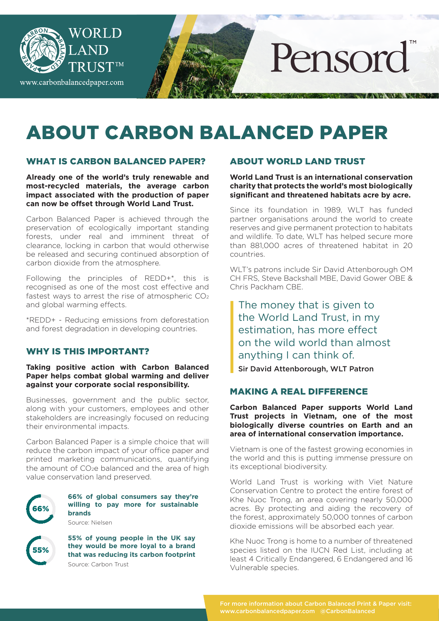

# ABOUT CARBON BALANCED PAPER

#### WHAT IS CARBON BALANCED PAPER?

**Already one of the world's truly renewable and most-recycled materials, the average carbon impact associated with the production of paper can now be offset through World Land Trust.**

Carbon Balanced Paper is achieved through the preservation of ecologically important standing forests, under real and imminent threat of clearance, locking in carbon that would otherwise be released and securing continued absorption of carbon dioxide from the atmosphere.

Following the principles of REDD+\*, this is recognised as one of the most cost effective and fastest ways to arrest the rise of atmospheric  $CO<sub>2</sub>$ and global warming effects.

\*REDD+ - Reducing emissions from deforestation and forest degradation in developing countries.

#### WHY IS THIS IMPORTANT?

#### **Taking positive action with Carbon Balanced Paper helps combat global warming and deliver against your corporate social responsibility.**

Businesses, government and the public sector, along with your customers, employees and other stakeholders are increasingly focused on reducing their environmental impacts.

Carbon Balanced Paper is a simple choice that will reduce the carbon impact of your office paper and printed marketing communications, quantifying the amount of  $CO<sub>2</sub>e$  balanced and the area of high value conservation land preserved.



**66% of global consumers say they're willing to pay more for sustainable brands**

Source: Nielsen

55%

**55% of young people in the UK say they would be more loyal to a brand that was reducing its carbon footprint**  Source: Carbon Trust

## ABOUT WORLD LAND TRUST

**World Land Trust is an international conservation charity that protects the world's most biologically significant and threatened habitats acre by acre.**

Since its foundation in 1989, WLT has funded partner organisations around the world to create reserves and give permanent protection to habitats and wildlife. To date, WLT has helped secure more than 881,000 acres of threatened habitat in 20 countries.

WLT's patrons include Sir David Attenborough OM CH FRS, Steve Backshall MBE, David Gower OBE & Chris Packham CBE.

The money that is given to the World Land Trust, in my estimation, has more effect on the wild world than almost anything I can think of.

Sir David Attenborough, WLT Patron

## MAKING A REAL DIFFERENCE

**Carbon Balanced Paper supports World Land Trust projects in Vietnam, one of the most biologically diverse countries on Earth and an area of international conservation importance.**

Vietnam is one of the fastest growing economies in the world and this is putting immense pressure on its exceptional biodiversity.

World Land Trust is working with Viet Nature Conservation Centre to protect the entire forest of Khe Nuoc Trong, an area covering nearly 50,000 acres. By protecting and aiding the recovery of the forest, approximately 50,000 tonnes of carbon dioxide emissions will be absorbed each year.

Khe Nuoc Trong is home to a number of threatened species listed on the IUCN Red List, including at least 4 Critically Endangered, 6 Endangered and 16 Vulnerable species.

www.carbonbalancedpaper.com @CarbonBalanced